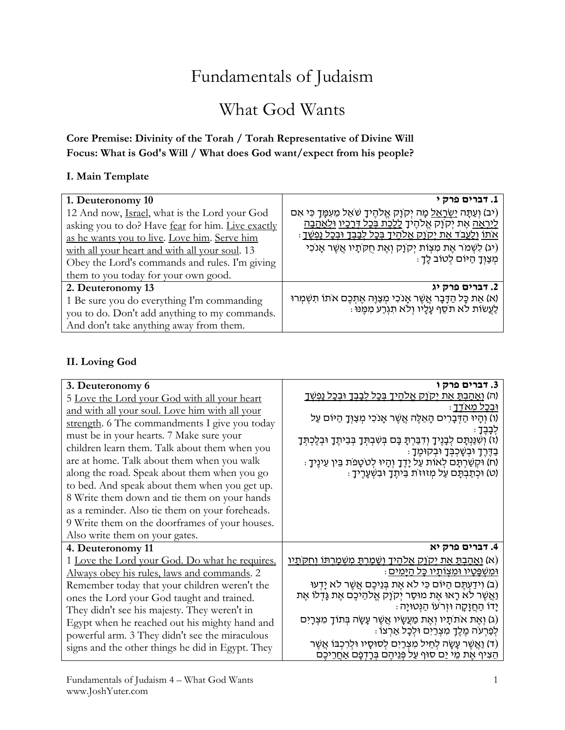# Fundamentals of Judaism

# What God Wants

## **Core Premise: Divinity of the Torah / Torah Representative of Divine Will Focus: What is God's Will / What does God want/expect from his people?**

#### **I. Main Template**

| 1. Deuteronomy 10                                                                                                                                                                                                                                      | 1. דברים פרק י                                                                                                                                                                                                                                                                                                                                          |
|--------------------------------------------------------------------------------------------------------------------------------------------------------------------------------------------------------------------------------------------------------|---------------------------------------------------------------------------------------------------------------------------------------------------------------------------------------------------------------------------------------------------------------------------------------------------------------------------------------------------------|
| 12 And now, Israel, what is the Lord your God<br>asking you to do? Have fear for him. Live exactly<br>as he wants you to live. Love him. Serve him<br>with all your heart and with all your soul. 13<br>Obey the Lord's commands and rules. I'm giving | (יב) וְעַתָּה <u>יִשְׂרַאֵל</u> מָה יִקְוָק אֱלֹהֶיךָ שֹׁאֵל מֵעִמְּךָ כִּי אִם<br><u>ליראה</u> אֶת יִקְוָק אֱלֹהֶיךָ <u>לַלֶכֶת בְּכַל דְּרָכָיו וְלָאהֲבָה</u><br><u> אתו וְלַעֲבֹד אֶת יְקוֹק אֱלֹהֶיךָ בְּכָל לִבְבַד וּבְכַל נִפְשֵׁד וּ</u><br>(יג) לִשְמֹר אֶת מִצְוֹת יְקוָנְק וְאֶת חֻקֹּתָיו אֲשֶׁר אָנֹכִי)<br>מִצַוְךָ הַיּוֹם לְטוֹב לָךָ: |
| them to you today for your own good.                                                                                                                                                                                                                   |                                                                                                                                                                                                                                                                                                                                                         |
| 2. Deuteronomy 13                                                                                                                                                                                                                                      | 2. דברים פרק יג                                                                                                                                                                                                                                                                                                                                         |
| 1 Be sure you do everything I'm commanding                                                                                                                                                                                                             | (א) אַת כָּל הַדָּבָר אֲשֶׁר אָנֹכִי מְצַוֶּה אֶתְכֶם אֹתוֹ תִשְׁמְרוּ                                                                                                                                                                                                                                                                                  |
| you to do. Don't add anything to my commands.                                                                                                                                                                                                          | לַעֲשׂוֹת לֹא תֹסֵף עָלָיו ולֹא תְגְרַע מְמֵנוּ:                                                                                                                                                                                                                                                                                                        |
| And don't take anything away from them.                                                                                                                                                                                                                |                                                                                                                                                                                                                                                                                                                                                         |

### **II. Loving God**

| 3. Deuteronomy 6                                      | 3. דברים פרק ו                                                                                                     |
|-------------------------------------------------------|--------------------------------------------------------------------------------------------------------------------|
| 5 Love the Lord your God with all your heart          | (ה) ואַהַבְתַּ אֶת יִקְוַק אֱלֹהֵיךָ בְּכַל לִבָּבְךָ וּבְכַל וַמְּשְׁךָ                                           |
| <u>and with all your soul. Love him with all your</u> | ּוּבְכַל מִאֹדֶךָ                                                                                                  |
| strength. 6 The commandments I give you today         | (ו) וְהָיוּ הַדְּבָרִים הָאֵלֶה אֲשֶׁר אָנֹכִי מְצַוְךָ הַיּוֹם עַל                                                |
| must be in your hearts. 7 Make sure your              | ּלִבְּבָךָ                                                                                                         |
| children learn them. Talk about them when you         | (ז) וְשִׁנַּנְתָּם לְבָנֶיךָ וְדִבַּרְתָּ בָּם בְּשִׁבְתְּךָ בְּבֵיתֶךָ וּבְלֶכְתְּךָ                              |
| are at home. Talk about them when you walk            | ּבַדֶּרֶךָ וּבְשָׁכְבְּךָ וּבְקוּמֶךָ :<br>ּ (ח) וּקְשַׁרְתָּם לְאוֹת עַל יָדֶךָ וְהָיוּ לְטֹטְפֹת בֵּין עֵינֶיךָ) |
| along the road. Speak about them when you go          | (ט) וכתבתם על מזוזת ביתך ובשעריך:                                                                                  |
| to bed. And speak about them when you get up.         |                                                                                                                    |
|                                                       |                                                                                                                    |
| 8 Write them down and tie them on your hands          |                                                                                                                    |
| as a reminder. Also tie them on your foreheads.       |                                                                                                                    |
| 9 Write them on the doorframes of your houses.        |                                                                                                                    |
| Also write them on your gates.                        |                                                                                                                    |
| 4. Deuteronomy 11                                     | 4. דברים פרק יא                                                                                                    |
| 1 <u>Love the Lord your God. Do what he requires.</u> | (א) <u>ואהבת את יקוק אלהיך ושמרת משמרתו וחקתיו</u>                                                                 |
| Always obey his rules, laws and commands. 2           | <u>ומשפטיו ומצותיו כל הימים</u> :                                                                                  |
| Remember today that your children weren't the         | (ב) וִידַעְתֵּם הַיּוֹם כִּי לֹא אֶת בְּנֵיכֶם אֲשֶׁר לֹא יַדְעוּ                                                  |
| ones the Lord your God taught and trained.            | וַאֲשֵׁר לא רָאו אֵת מוּסַר יִקוָק אֱלֹהֵיכֵם אֵת גָדלוֹ אֵת                                                       |
| They didn't see his majesty. They weren't in          | ַיִּדוֹ הַחֲזָקָה וּזִרֹעוֹ הַנְטוֹיַה ּ                                                                           |
| Egypt when he reached out his mighty hand and         | (ג) וְאֵת אֹתֹתָיו וְאֵת מַעֲשָׂיו אֲשֵׁר עָשָׂה בְּתוֹךָ מִצְרָיִם                                                |
| powerful arm. 3 They didn't see the miraculous        | לִפַּרְעֹה מֶלֶךְ מִצְרַיִם וּלִכָּל אַרצוֹ :                                                                      |
|                                                       | (ד) וַאֲשֶׁר עָשָׂה לְחֵיל מִצְרַיִם לְסוּסָיו וּלְרְכְבוֹ אֲשֵׁר                                                  |
| signs and the other things he did in Egypt. They      | הֵצִיף אֵת מֵי יַם סוּף עַל פְּנֵיהֵם בִּרָדְפָם אַחֲרֵיכֵם                                                        |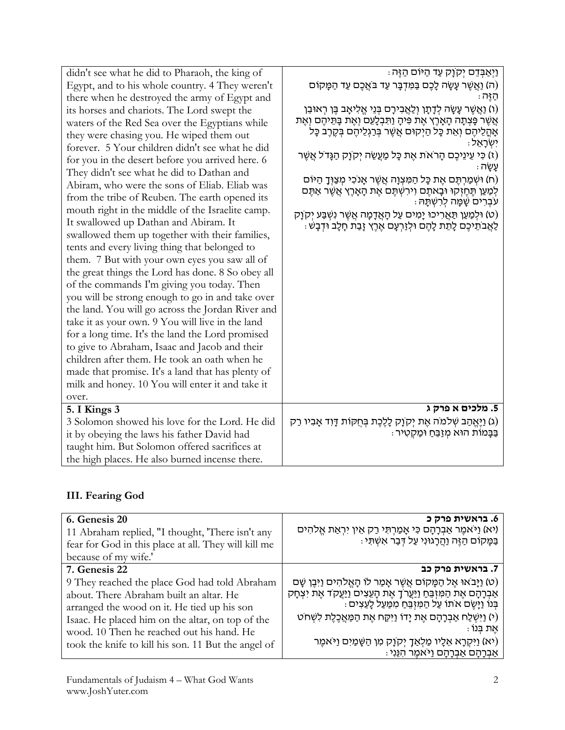| didn't see what he did to Pharaoh, the king of    | <u>ויאַבְדָם יְקוֹק עַד הַיּוֹם הַזֵּה:</u>                                                                                                   |
|---------------------------------------------------|-----------------------------------------------------------------------------------------------------------------------------------------------|
| Egypt, and to his whole country. 4 They weren't   | (ה) וַאֲשֶׁר עָשָׂה לָכֶם בַּמִּדְבָּר עַד בֹּאֲכֶם עַד הַמָּקוֹם                                                                             |
| there when he destroyed the army of Egypt and     | ּהַזָּה                                                                                                                                       |
| its horses and chariots. The Lord swept the       | (ו) וַאֲשֶׁר עָשָׂה לְדָתָן וְלַאֲבִירָם בְּנֵי אֱלִיאָב בֶּן רְאוּבֵן)                                                                       |
| waters of the Red Sea over the Egyptians while    | אֲשֶׁר פָּצְתָה הָאָרֶץ אֶת פִּיהָ וַתִּבְלָעֵם וְאֶת בָּתֵּיהֶם וְאֶת                                                                        |
| they were chasing you. He wiped them out          | אָהֲלֵיהֶם וְאֵת כָּל הַיְקוּם אֲשֶׁר בְּרַגְלֵיהֶם בְּקֶרֶב כָּל                                                                             |
| forever. 5 Your children didn't see what he did   | יִשְׁרָאֵל                                                                                                                                    |
| for you in the desert before you arrived here. 6  | (ז) כִּי עֵינֵיכֶם הָרֹאֹת אֶת כָּל מַעֲשֶׂה יְקוָק הַגָּדֹל אֲשֶׁר                                                                           |
| They didn't see what he did to Dathan and         | : עַשַׂה                                                                                                                                      |
| Abiram, who were the sons of Eliab. Eliab was     | (ח) ושמַרתֵּם אֶת כָּל הַמְּצְוָה אֲשֶׁר אָנֹכִי מִצַּוּךָ הַיּוֹם                                                                            |
| from the tribe of Reuben. The earth opened its    | לְמַעַן תֶּחֶזְקוּ וּבָאתֶם וִירִשְׁתֶם אֶת הָאָרֶץ אֲשֶׁר אַתֶּם<br>עברים שָמָה לרשתָה :                                                     |
| mouth right in the middle of the Israelite camp.  |                                                                                                                                               |
| It swallowed up Dathan and Abiram. It             | (ט) וּלְמַעַן תַּאֲרִיכוּ יָמִים עַל הָאֲדָמָה אֲשֶׁר נִשְּׁבַּע יְקוָק)<br>לַאֲבֹתֵיכֶם לָתֵת לָהֶם וּלְזַרְעָם אֶרֶץ זָבַת חָלָב וּדְבָשׁ : |
| swallowed them up together with their families,   |                                                                                                                                               |
| tents and every living thing that belonged to     |                                                                                                                                               |
| them. 7 But with your own eyes you saw all of     |                                                                                                                                               |
| the great things the Lord has done. 8 So obey all |                                                                                                                                               |
| of the commands I'm giving you today. Then        |                                                                                                                                               |
| you will be strong enough to go in and take over  |                                                                                                                                               |
| the land. You will go across the Jordan River and |                                                                                                                                               |
| take it as your own. 9 You will live in the land  |                                                                                                                                               |
| for a long time. It's the land the Lord promised  |                                                                                                                                               |
| to give to Abraham, Isaac and Jacob and their     |                                                                                                                                               |
| children after them. He took an oath when he      |                                                                                                                                               |
| made that promise. It's a land that has plenty of |                                                                                                                                               |
| milk and honey. 10 You will enter it and take it  |                                                                                                                                               |
| over.                                             |                                                                                                                                               |
| 5. I Kings 3                                      | 5. מלכים א פרק ג                                                                                                                              |
| 3 Solomon showed his love for the Lord. He did    | (ג) וַיֶּאֱהַב שְׁלֹמֹה אֶת יְקוֹנְק לָלֶכֶת בְּחָקוֹת דָּוִד אָבִיו רַק                                                                      |
| it by obeying the laws his father David had       | ּבַּבָּמוֹת הוא מִזַּבֵּחַ וּמַקְטִיר                                                                                                         |
| taught him. But Solomon offered sacrifices at     |                                                                                                                                               |
| the high places. He also burned incense there.    |                                                                                                                                               |

## **III. Fearing God**

| 6. Genesis 20<br>11 Abraham replied, "I thought, 'There isn't any<br>fear for God in this place at all. They will kill me<br>because of my wife.'                                                                                                                                                                | 6. בראשית פרק כ<br>(יא) וַיֹּאמֶר אַבְרָהָם כִּי אָמַרְתִּי רַק אֵין יִרְאַת אֱלֹהִים<br>ּבַּמְּקוֹם הַזֶּה וַהֲרָגוּנִי עַל דְּבַר אִשְׁתִּי:                                                                                                                                                                                                                                                                                                 |
|------------------------------------------------------------------------------------------------------------------------------------------------------------------------------------------------------------------------------------------------------------------------------------------------------------------|------------------------------------------------------------------------------------------------------------------------------------------------------------------------------------------------------------------------------------------------------------------------------------------------------------------------------------------------------------------------------------------------------------------------------------------------|
| 7. Genesis 22<br>9 They reached the place God had told Abraham<br>about. There Abraham built an altar. He<br>arranged the wood on it. He tied up his son<br>Isaac. He placed him on the altar, on top of the<br>wood. 10 Then he reached out his hand. He<br>took the knife to kill his son. 11 But the angel of | 7. בראשית פרק כב<br>(ט) וַיַּבֹאוּ אֵל הַמַּקוֹם אֲשֶׁר אַמַר לוֹ הָאֱלֹהִים וַיִּבֵן שַׁם<br>אַבְרָהָם אֶת הַמִּזְבֵּחַ וַיַּעֲרֹךָ אֶת הָעֵצִים וַיַּעֲקֹד אֶת יִצְחָק<br>ּבְנוֹ וַיָּשֵׁם אֹתוֹ עַל הַמְזִבֵּחַ מִמַּעַל לָעֲצִים :<br>(י) וַיִּשְׁלַח אַבְרָהָם אֵת יָדוֹ וַיִּקַח אֵת הַמַּאֲכֵלֵת לִשְׁחֹט<br>ּאַת בִּנוֹ<br>(יא) וַיִּקְרָא אֵלָיו מַלְאַךָ יִקוָק מִן הַשָּׁמַיִם וַיּאמֶר)<br>אַבְרָהָם אַבְרָהָם וַיֹּאמֵר הִנֵּנִי: |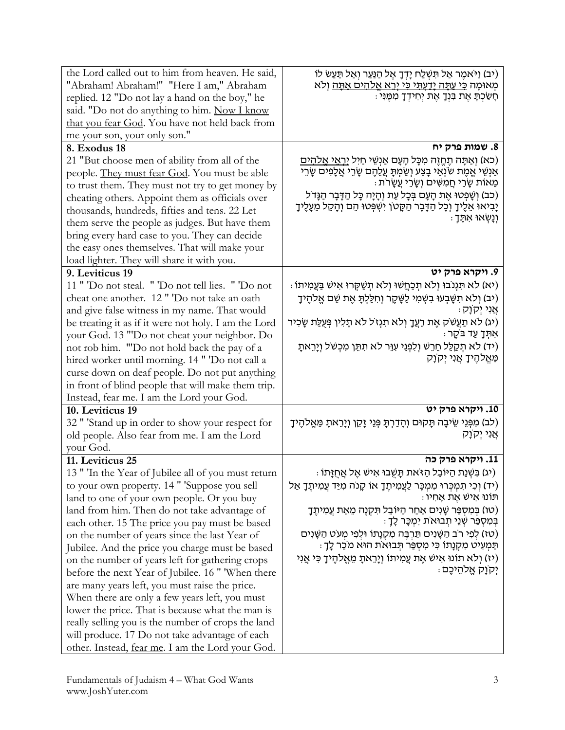| the Lord called out to him from heaven. He said,<br>"Abraham! Abraham!" "Here I am," Abraham<br>replied. 12 "Do not lay a hand on the boy," he<br>said. "Do not do anything to him. Now I know<br>that you fear God. You have not held back from<br>me your son, your only son."                                                                                                                                                                                                                                                                                                                                                                                                                                                                                                                                | (יב) וַיֹּאמֶר אַל תִּשְׁלַח יָדְךָ אֵל הַנַּעַר וְאַל תַעַשׂ לוֹ<br>מְאוּמָה <u>כִּי עַתַּה יַדְעִתְּי כִּי יִרְא אֱלֹהִים אַתַּה</u> וְלֹא<br>ּחָשַׂכְתָּ אֶת בִּנְךָ אֶת יְחִידְךָ מִכֶּוּנִי                                                                                                                                                                                                                                                                                                                                          |
|-----------------------------------------------------------------------------------------------------------------------------------------------------------------------------------------------------------------------------------------------------------------------------------------------------------------------------------------------------------------------------------------------------------------------------------------------------------------------------------------------------------------------------------------------------------------------------------------------------------------------------------------------------------------------------------------------------------------------------------------------------------------------------------------------------------------|-------------------------------------------------------------------------------------------------------------------------------------------------------------------------------------------------------------------------------------------------------------------------------------------------------------------------------------------------------------------------------------------------------------------------------------------------------------------------------------------------------------------------------------------|
| 8. Exodus 18<br>21 "But choose men of ability from all of the<br>people. They must fear God. You must be able<br>to trust them. They must not try to get money by<br>cheating others. Appoint them as officials over<br>thousands, hundreds, fifties and tens. 22 Let<br>them serve the people as judges. But have them<br>bring every hard case to you. They can decide<br>the easy ones themselves. That will make your                                                                                                                                                                                                                                                                                                                                                                                       | 8. שמות פרק יח<br>(כא) ואַתָּה תַחֵזֵה מִכָּל הָעָם אַנְשֵׁי חַיִּל יִרְאֵי <u>אֱלֹהִים</u><br>אַנְשֵׁי אֱמֶת שֹׂנְאֵי בָצַע וְשַׂמְתָ עֲלֵהֶם שָׂרֵי אֲלָפִים שָׂרֵי<br>ּמֵאוֹת שַׂרֵי חֲמְשִׁים וְשֶׂרֵי עֲשֶׂרֹת ּ<br>(כב) וְשָׁפְטוּ אֶת הָעָם בְּכָל עֵת וְהָיָה כָּל הַדָּבָר הַגָּדֹל<br>יָביאוּ אֵלֶיךָ וְכָל הַדָּבָר הַקָּטן יִשְׁפְּטוּ הֵם וְהָקֵל מֵעָלֶיךָ<br>ּוֹנָשׂאו אִתָּך                                                                                                                                              |
| load lighter. They will share it with you.<br>9. Leviticus 19<br>11 "'Do not steal. "'Do not tell lies. "'Do not<br>cheat one another. 12 " 'Do not take an oath<br>and give false witness in my name. That would<br>be treating it as if it were not holy. I am the Lord<br>your God. 13 "'Do not cheat your neighbor. Do<br>not rob him. "Do not hold back the pay of a<br>hired worker until morning. 14 " 'Do not call a<br>curse down on deaf people. Do not put anything<br>in front of blind people that will make them trip.<br>Instead, fear me. I am the Lord your God.                                                                                                                                                                                                                               | 9. ויקרא פרק יט<br>: א תגנבו ולא תכחשו ולא תשקרו איש בעמיתו)<br>(יב) וְלֹא תִשָּׁבְעוּ בִשְׁמִי לַשָּׁקֶר וְחִלַּלְתָּ אֶת שֵׁם אֱלֹהֶיךָ<br>ּאַני יִקוָק<br>(יג) לא תַעֲשֹׁק אֶת רֵעֲךָ וְלֹא תִגְזֹל לֹא תָלִין פְּעַלַת שֶׂכִיר)<br>אתך עד בקר:<br>(יד) לא תְקַלֵּל חֵרֵשׁ וְלִפְגֵי עִוֲּר לֹא תִתֵּן מִכְשֹׁל וְיָרֵאתָ<br>מֵאֱלהָיךָ אֲנִי יְקוָק                                                                                                                                                                                   |
| 10. Leviticus 19<br>32 " 'Stand up in order to show your respect for<br>old people. Also fear from me. I am the Lord<br>your God.                                                                                                                                                                                                                                                                                                                                                                                                                                                                                                                                                                                                                                                                               | 10. ויקרא פרק יט<br>(לב) מִפְּנֵי שֵׂיבָה תָּקוּם וְהָדַרְתָּ פְּנֵי זָקֵן וְיָרֵאתָ מֵאֱלֹהֶיךָ<br>אֲנִי יִקוֹק                                                                                                                                                                                                                                                                                                                                                                                                                          |
| 11. Leviticus 25<br>13 " 'In the Year of Jubilee all of you must return<br>to your own property. 14 " 'Suppose you sell<br>land to one of your own people. Or you buy<br>land from him. Then do not take advantage of<br>each other. 15 The price you pay must be based<br>on the number of years since the last Year of<br>Jubilee. And the price you charge must be based<br>on the number of years left for gathering crops<br>before the next Year of Jubilee. 16 " 'When there<br>are many years left, you must raise the price.<br>When there are only a few years left, you must<br>lower the price. That is because what the man is<br>really selling you is the number of crops the land<br>will produce. 17 Do not take advantage of each<br>other. Instead, <u>fear me</u> . I am the Lord your God. | 11. ויקרא פרק כה<br>: יג) בְּשְׁנַת הַיּוֹבֶל הַזֹּאת תַשְׁבוּ אִישׁ אֱל אַחְזַתוֹ<br>(יד) וְכִי תִמְכְּרוּ מִמְכָּר לַעֲמִיתֶךָ אוֹ קָנֹה מִיַּד עֲמִיתֶךָ אַל<br>: חונו איש את אחיו<br>(טו) בִּמִסְפַּר שָׁנִים אַחַר הַיּוֹבֵל תִּקְנֶה מֵאֵת עֲמִיתֶךָ<br>בְּמִסְפַּר שְׁנֵי תְבוּאֹת יִמְכָּר לָךָ :<br>(טז) לְפִי רֹב הַשָּׁנִים תַּרְבֵּה מִקְנָתוֹ וּלִפִי מִעֹט הַשָּׁנִים<br>תַּמְעִיט מִקְנָתוֹ כִּי מִסְפַּר תְּבוּאת הוּא מֹכֵר לָךָ :<br>יז) ולא תונו איש אֶת עֲמִיתוֹ וְיָרֵאתָ מֵאֱלֹהֶיךָ כִּי אֲנִי)<br>יקוק אֱלהֵיכֶם: |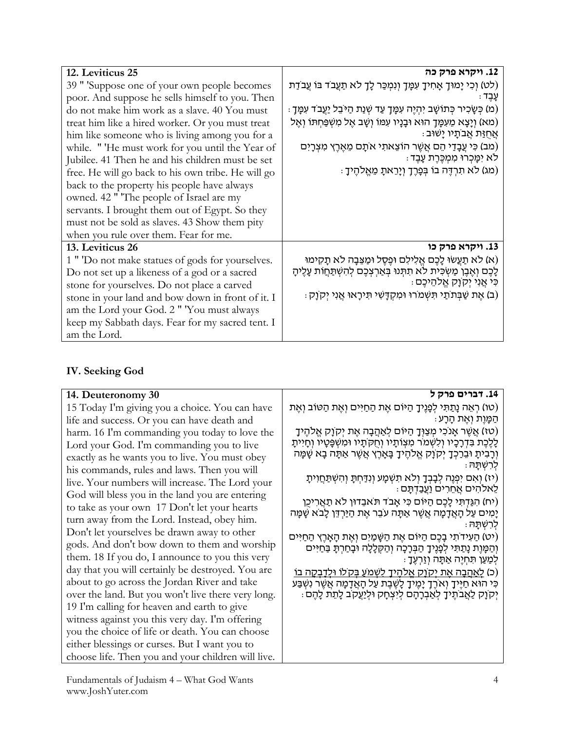| 12. Leviticus 25                                   | 12. ויקרא פרק כה                                                                |
|----------------------------------------------------|---------------------------------------------------------------------------------|
| 39 " 'Suppose one of your own people becomes       | לט) וְכִי יָמוּךָ אָחִיךָ עִמְּךָ וְנִמְכַּר לָךָ לֹא תַעֲבֹד בּוֹ עֲבֹדַת)     |
| poor. And suppose he sells himself to you. Then    | ּעָבֶד י                                                                        |
| do not make him work as a slave. 40 You must       | ּמ) כִּשָּׂכִיר כִּתוֹשָׁב יִהְיֵה עִמָּךָ עַד שִׁנַת הַיּבֵל יַעֲבֹד עִמֶּךְ ( |
| treat him like a hired worker. Or you must treat   | (מא) וַיָּצָא מֵעִמָּךָ הוּא וּבָנָיו עִמּוֹ וְשֶׁב אֶל מִשְׁפַּחְתּוֹ וְאֶל    |
| him like someone who is living among you for a     | ּאַחַזַּת אֲבֹתָיו יָשׁוּב                                                      |
| while. " 'He must work for you until the Year of   | (מב) כִּי עֲבָדַי הֵם אֲשֶׁר הוֹצֵאתִי אֹתָם מֵאֶרֶץ מִצְרָיִם                  |
| Jubilee. 41 Then he and his children must be set   | ּלֹא ימָכְרוּ מִמְכֵרֶת עָבֵד                                                   |
| free. He will go back to his own tribe. He will go | (מג) לא תִרְדֶּה בּוֹ בְּפָרֶךָ וְיָרֵאתָ מֵאֱלֹהֶיךָ :                         |
| back to the property his people have always        |                                                                                 |
| owned. 42 " The people of Israel are my            |                                                                                 |
| servants. I brought them out of Egypt. So they     |                                                                                 |
| must not be sold as slaves. 43 Show them pity      |                                                                                 |
| when you rule over them. Fear for me.              |                                                                                 |
| 13. Leviticus 26                                   | 13. ויקרא פרק כו                                                                |
| 1 " 'Do not make statues of gods for yourselves.   | (א) לא תַעֲשוּ לָכֵם אֱלִילִם וּפֵסֶל וּמַצֵּבָה לֹא תָקִימוּ                   |
| Do not set up a likeness of a god or a sacred      | לָכֶם וְאֶבֶן מַשְׂכִּית לֹא תִתְּנוּ בְּאַרְצְכֶם לְהִשְׁתַּחֲוֹת עָלֶיהָ      |
| stone for yourselves. Do not place a carved        | כִּי אֲנִי יִקְוָק אֱלֹהֵיכֵם ּ                                                 |
| stone in your land and bow down in front of it. I  | : ב) אַת שַבִּתוֹתַי תּשְמֹרוּ וּמִקְדָשִי תִּירָאוּ אֲנִי יִקְוָק)             |
| am the Lord your God. 2 " 'You must always         |                                                                                 |
| keep my Sabbath days. Fear for my sacred tent. I   |                                                                                 |
| am the Lord.                                       |                                                                                 |

# **IV. Seeking God**

| 14. Deuteronomy 30                                 | 14. דברים פרק ל                                                                                                                                       |
|----------------------------------------------------|-------------------------------------------------------------------------------------------------------------------------------------------------------|
| 15 Today I'm giving you a choice. You can have     | (טו) ראֵה נָתַתִּי לִפְנֵיךָ הַיּוֹם אֵת הַחַיִּים וְאֵת הַטּוֹב וְאִת                                                                                |
| life and success. Or you can have death and        | ּהַכְּוֶת וְאֶת הָרָע                                                                                                                                 |
| harm. 16 I'm commanding you today to love the      | (טז) אַשֵּׁר אָנֹכִי מְצַוְךָ הַיּוֹם לְאַהֲבָה אֶת יְקוָק אֱלֹהֶיךָ                                                                                  |
| Lord your God. I'm commanding you to live          | לָלֶכֶת בִּדְרָכָיו וְלִשְמֹר מִצְוֹתָיו וְחִקֹתָיו וּמִשְׁפָּטָיו וְחָייתָ                                                                           |
| exactly as he wants you to live. You must obey     | וְרָבִיתָ וּבֵרַכְךָ יְקִוָק אֱלֹהֶיךָ בָּאָרֶץ אֲשֶׁר אַתָּה בָא שָׁמָּה                                                                             |
| his commands, rules and laws. Then you will        | ּלרשְׁתָה                                                                                                                                             |
| live. Your numbers will increase. The Lord your    | (יז) וְאִם יִפְנֶה לְבָבְךָ וְלֹא תִשְׁמָע וְנִדַּחְתָ וְהִשְׁתַּחֲוִיתָ<br>לאלהים אַחֵרים וַעֲבַדתָם :                                               |
| God will bless you in the land you are entering    |                                                                                                                                                       |
| to take as your own 17 Don't let your hearts       | (יח) הִגַּדְתִי לַכֶם הַיּוֹם כִּי אֲבֹד תֹאבֵדון לֹא תַאֲרִיכְן)                                                                                     |
| turn away from the Lord. Instead, obey him.        | יָמִים עַל הָאֲדָמָה אֲשֶׁר אַתָּה עֹבֵר אֶת הַיַּרְדֵּן לָבֹא שָׁמָּה<br>ּלרשׁתָּה                                                                   |
| Don't let yourselves be drawn away to other        |                                                                                                                                                       |
| gods. And don't bow down to them and worship       | (יט) הַעִידֹתִי בָּכֵם הַיּוֹם אֵת הַשָּׁמַיִם וְאֶת הָאָרֶץ הַחַיִּים<br>וְהַמָּוֶת נְתַתִּי לְפָנֶיךָ הַבְּרָכָה וְהַקְלָלָה וּבְחַרְתָּ בַּחַיִּים |
| them. 18 If you do, I announce to you this very    | ּלְמַעַן תּחְיֶה אַתָּה וְזַרְעֶךָ                                                                                                                    |
| day that you will certainly be destroyed. You are  | <u>(כ) לאהבה את יקוק אלהיד לשמע בקלו ולדבקה בו</u>                                                                                                    |
| about to go across the Jordan River and take       | כִּי הוּא חַיֶּיךָ וְאֹרֶךָ יָמֶיךָ לָשֶׁבֶת עַל הָאֲדָמָה אֲשֶׁר נִשְּׁבַּע                                                                          |
| over the land. But you won't live there very long. | יְקוֹנְק לַאֲבֹתֶיךָ לְאַבְרָהָם לְיִצְחָק וּלְיַעֲקֹב לָתֵת לָהֶם .                                                                                  |
| 19 I'm calling for heaven and earth to give        |                                                                                                                                                       |
| witness against you this very day. I'm offering    |                                                                                                                                                       |
| you the choice of life or death. You can choose    |                                                                                                                                                       |
| either blessings or curses. But I want you to      |                                                                                                                                                       |
| choose life. Then you and your children will live. |                                                                                                                                                       |